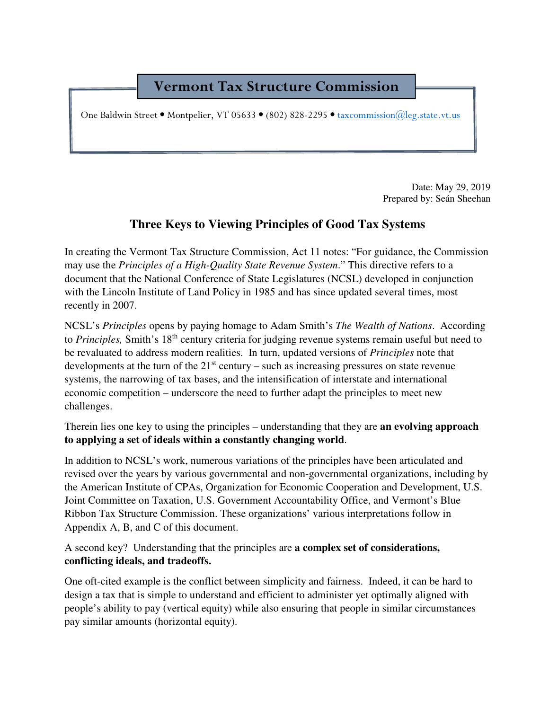# **Vermont Tax Structure Commission**

One Baldwin Street • Montpelier, VT 05633 • (802) 828-2295 • taxcommission@leg.state.vt.us

Date: May 29, 2019 Prepared by: Seán Sheehan

### **Three Keys to Viewing Principles of Good Tax Systems**

In creating the Vermont Tax Structure Commission, Act 11 notes: "For guidance, the Commission may use the *Principles of a High-Quality State Revenue System*." This directive refers to a document that the National Conference of State Legislatures (NCSL) developed in conjunction with the Lincoln Institute of Land Policy in 1985 and has since updated several times, most recently in 2007.

NCSL's *Principles* opens by paying homage to Adam Smith's *The Wealth of Nations*. According to *Principles*, Smith's 18<sup>th</sup> century criteria for judging revenue systems remain useful but need to be revaluated to address modern realities. In turn, updated versions of *Principles* note that developments at the turn of the  $21<sup>st</sup>$  century – such as increasing pressures on state revenue systems, the narrowing of tax bases, and the intensification of interstate and international economic competition – underscore the need to further adapt the principles to meet new challenges.

Therein lies one key to using the principles – understanding that they are **an evolving approach to applying a set of ideals within a constantly changing world**.

In addition to NCSL's work, numerous variations of the principles have been articulated and revised over the years by various governmental and non-governmental organizations, including by the American Institute of CPAs, Organization for Economic Cooperation and Development, U.S. Joint Committee on Taxation, U.S. Government Accountability Office, and Vermont's Blue Ribbon Tax Structure Commission. These organizations' various interpretations follow in Appendix A, B, and C of this document.

A second key? Understanding that the principles are **a complex set of considerations, conflicting ideals, and tradeoffs.** 

One oft-cited example is the conflict between simplicity and fairness. Indeed, it can be hard to design a tax that is simple to understand and efficient to administer yet optimally aligned with people's ability to pay (vertical equity) while also ensuring that people in similar circumstances pay similar amounts (horizontal equity).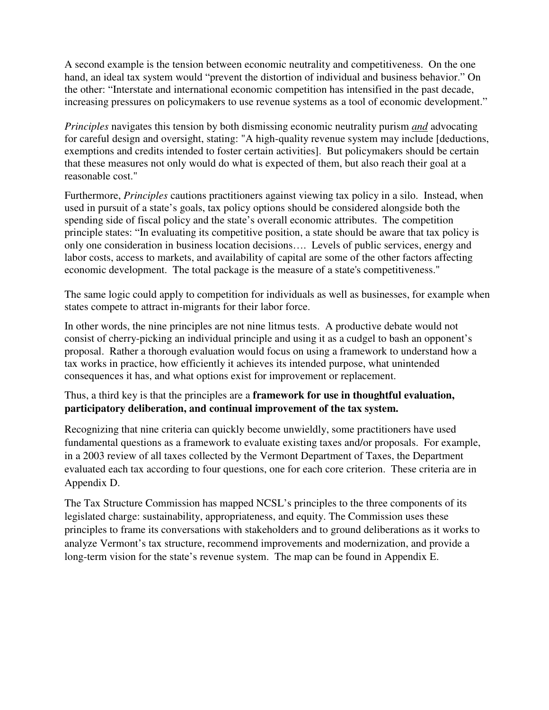A second example is the tension between economic neutrality and competitiveness. On the one hand, an ideal tax system would "prevent the distortion of individual and business behavior." On the other: "Interstate and international economic competition has intensified in the past decade, increasing pressures on policymakers to use revenue systems as a tool of economic development."

*Principles* navigates this tension by both dismissing economic neutrality purism *and* advocating for careful design and oversight, stating: "A high-quality revenue system may include [deductions, exemptions and credits intended to foster certain activities]. But policymakers should be certain that these measures not only would do what is expected of them, but also reach their goal at a reasonable cost."

Furthermore, *Principles* cautions practitioners against viewing tax policy in a silo. Instead, when used in pursuit of a state's goals, tax policy options should be considered alongside both the spending side of fiscal policy and the state's overall economic attributes. The competition principle states: "In evaluating its competitive position, a state should be aware that tax policy is only one consideration in business location decisions…. Levels of public services, energy and labor costs, access to markets, and availability of capital are some of the other factors affecting economic development. The total package is the measure of a state's competitiveness."

The same logic could apply to competition for individuals as well as businesses, for example when states compete to attract in-migrants for their labor force.

In other words, the nine principles are not nine litmus tests. A productive debate would not consist of cherry-picking an individual principle and using it as a cudgel to bash an opponent's proposal. Rather a thorough evaluation would focus on using a framework to understand how a tax works in practice, how efficiently it achieves its intended purpose, what unintended consequences it has, and what options exist for improvement or replacement.

### Thus, a third key is that the principles are a **framework for use in thoughtful evaluation, participatory deliberation, and continual improvement of the tax system.**

Recognizing that nine criteria can quickly become unwieldly, some practitioners have used fundamental questions as a framework to evaluate existing taxes and/or proposals. For example, in a 2003 review of all taxes collected by the Vermont Department of Taxes, the Department evaluated each tax according to four questions, one for each core criterion. These criteria are in Appendix D.

The Tax Structure Commission has mapped NCSL's principles to the three components of its legislated charge: sustainability, appropriateness, and equity. The Commission uses these principles to frame its conversations with stakeholders and to ground deliberations as it works to analyze Vermont's tax structure, recommend improvements and modernization, and provide a long-term vision for the state's revenue system. The map can be found in Appendix E.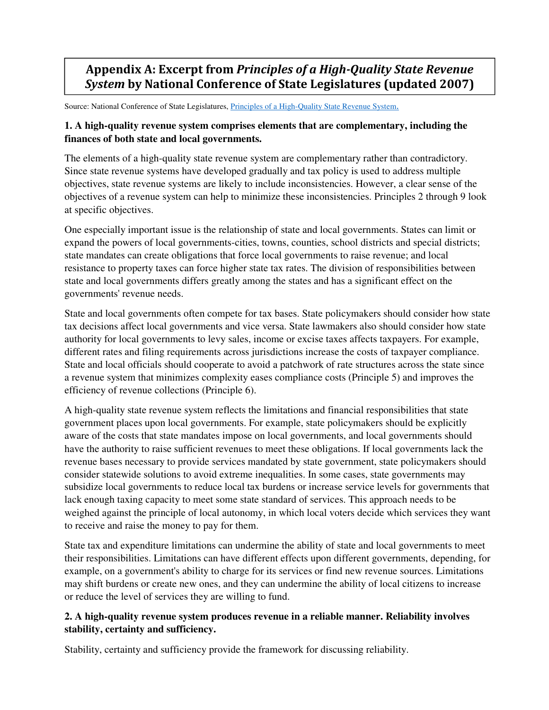### **Appendix A: Excerpt from** *Principles of a High-Quality State Revenue System* **by National Conference of State Legislatures (updated 2007)**

Source: National Conference of State Legislatures, Principles of a High-Quality State Revenue System.

#### **1. A high-quality revenue system comprises elements that are complementary, including the finances of both state and local governments.**

The elements of a high-quality state revenue system are complementary rather than contradictory. Since state revenue systems have developed gradually and tax policy is used to address multiple objectives, state revenue systems are likely to include inconsistencies. However, a clear sense of the objectives of a revenue system can help to minimize these inconsistencies. Principles 2 through 9 look at specific objectives.

One especially important issue is the relationship of state and local governments. States can limit or expand the powers of local governments-cities, towns, counties, school districts and special districts; state mandates can create obligations that force local governments to raise revenue; and local resistance to property taxes can force higher state tax rates. The division of responsibilities between state and local governments differs greatly among the states and has a significant effect on the governments' revenue needs.

State and local governments often compete for tax bases. State policymakers should consider how state tax decisions affect local governments and vice versa. State lawmakers also should consider how state authority for local governments to levy sales, income or excise taxes affects taxpayers. For example, different rates and filing requirements across jurisdictions increase the costs of taxpayer compliance. State and local officials should cooperate to avoid a patchwork of rate structures across the state since a revenue system that minimizes complexity eases compliance costs (Principle 5) and improves the efficiency of revenue collections (Principle 6).

A high-quality state revenue system reflects the limitations and financial responsibilities that state government places upon local governments. For example, state policymakers should be explicitly aware of the costs that state mandates impose on local governments, and local governments should have the authority to raise sufficient revenues to meet these obligations. If local governments lack the revenue bases necessary to provide services mandated by state government, state policymakers should consider statewide solutions to avoid extreme inequalities. In some cases, state governments may subsidize local governments to reduce local tax burdens or increase service levels for governments that lack enough taxing capacity to meet some state standard of services. This approach needs to be weighed against the principle of local autonomy, in which local voters decide which services they want to receive and raise the money to pay for them.

State tax and expenditure limitations can undermine the ability of state and local governments to meet their responsibilities. Limitations can have different effects upon different governments, depending, for example, on a government's ability to charge for its services or find new revenue sources. Limitations may shift burdens or create new ones, and they can undermine the ability of local citizens to increase or reduce the level of services they are willing to fund.

### **2. A high-quality revenue system produces revenue in a reliable manner. Reliability involves stability, certainty and sufficiency.**

Stability, certainty and sufficiency provide the framework for discussing reliability.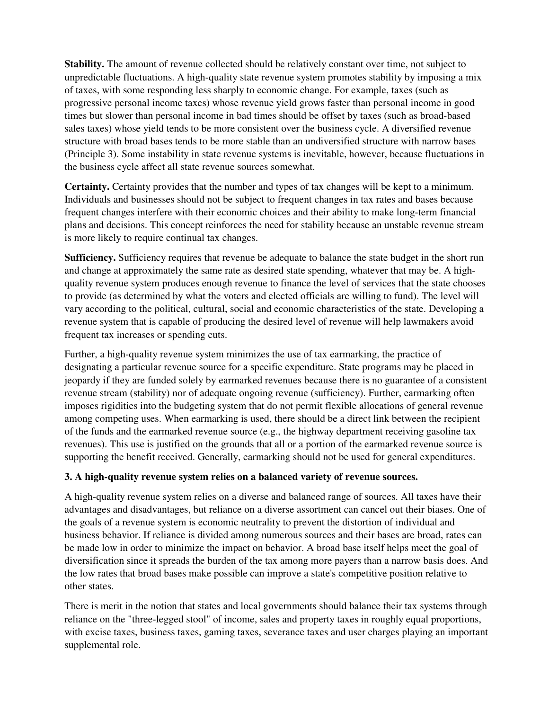**Stability.** The amount of revenue collected should be relatively constant over time, not subject to unpredictable fluctuations. A high-quality state revenue system promotes stability by imposing a mix of taxes, with some responding less sharply to economic change. For example, taxes (such as progressive personal income taxes) whose revenue yield grows faster than personal income in good times but slower than personal income in bad times should be offset by taxes (such as broad-based sales taxes) whose yield tends to be more consistent over the business cycle. A diversified revenue structure with broad bases tends to be more stable than an undiversified structure with narrow bases (Principle 3). Some instability in state revenue systems is inevitable, however, because fluctuations in the business cycle affect all state revenue sources somewhat.

**Certainty.** Certainty provides that the number and types of tax changes will be kept to a minimum. Individuals and businesses should not be subject to frequent changes in tax rates and bases because frequent changes interfere with their economic choices and their ability to make long-term financial plans and decisions. This concept reinforces the need for stability because an unstable revenue stream is more likely to require continual tax changes.

**Sufficiency.** Sufficiency requires that revenue be adequate to balance the state budget in the short run and change at approximately the same rate as desired state spending, whatever that may be. A highquality revenue system produces enough revenue to finance the level of services that the state chooses to provide (as determined by what the voters and elected officials are willing to fund). The level will vary according to the political, cultural, social and economic characteristics of the state. Developing a revenue system that is capable of producing the desired level of revenue will help lawmakers avoid frequent tax increases or spending cuts.

Further, a high-quality revenue system minimizes the use of tax earmarking, the practice of designating a particular revenue source for a specific expenditure. State programs may be placed in jeopardy if they are funded solely by earmarked revenues because there is no guarantee of a consistent revenue stream (stability) nor of adequate ongoing revenue (sufficiency). Further, earmarking often imposes rigidities into the budgeting system that do not permit flexible allocations of general revenue among competing uses. When earmarking is used, there should be a direct link between the recipient of the funds and the earmarked revenue source (e.g., the highway department receiving gasoline tax revenues). This use is justified on the grounds that all or a portion of the earmarked revenue source is supporting the benefit received. Generally, earmarking should not be used for general expenditures.

#### **3. A high-quality revenue system relies on a balanced variety of revenue sources.**

A high-quality revenue system relies on a diverse and balanced range of sources. All taxes have their advantages and disadvantages, but reliance on a diverse assortment can cancel out their biases. One of the goals of a revenue system is economic neutrality to prevent the distortion of individual and business behavior. If reliance is divided among numerous sources and their bases are broad, rates can be made low in order to minimize the impact on behavior. A broad base itself helps meet the goal of diversification since it spreads the burden of the tax among more payers than a narrow basis does. And the low rates that broad bases make possible can improve a state's competitive position relative to other states.

There is merit in the notion that states and local governments should balance their tax systems through reliance on the "three-legged stool" of income, sales and property taxes in roughly equal proportions, with excise taxes, business taxes, gaming taxes, severance taxes and user charges playing an important supplemental role.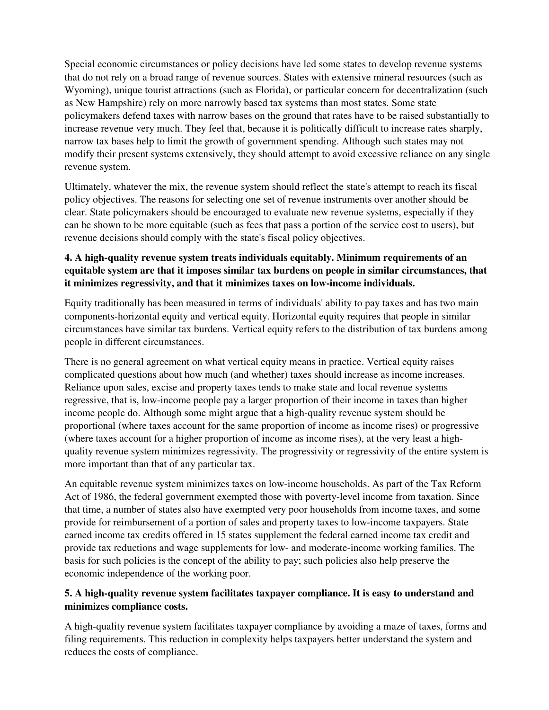Special economic circumstances or policy decisions have led some states to develop revenue systems that do not rely on a broad range of revenue sources. States with extensive mineral resources (such as Wyoming), unique tourist attractions (such as Florida), or particular concern for decentralization (such as New Hampshire) rely on more narrowly based tax systems than most states. Some state policymakers defend taxes with narrow bases on the ground that rates have to be raised substantially to increase revenue very much. They feel that, because it is politically difficult to increase rates sharply, narrow tax bases help to limit the growth of government spending. Although such states may not modify their present systems extensively, they should attempt to avoid excessive reliance on any single revenue system.

Ultimately, whatever the mix, the revenue system should reflect the state's attempt to reach its fiscal policy objectives. The reasons for selecting one set of revenue instruments over another should be clear. State policymakers should be encouraged to evaluate new revenue systems, especially if they can be shown to be more equitable (such as fees that pass a portion of the service cost to users), but revenue decisions should comply with the state's fiscal policy objectives.

### **4. A high-quality revenue system treats individuals equitably. Minimum requirements of an equitable system are that it imposes similar tax burdens on people in similar circumstances, that it minimizes regressivity, and that it minimizes taxes on low-income individuals.**

Equity traditionally has been measured in terms of individuals' ability to pay taxes and has two main components-horizontal equity and vertical equity. Horizontal equity requires that people in similar circumstances have similar tax burdens. Vertical equity refers to the distribution of tax burdens among people in different circumstances.

There is no general agreement on what vertical equity means in practice. Vertical equity raises complicated questions about how much (and whether) taxes should increase as income increases. Reliance upon sales, excise and property taxes tends to make state and local revenue systems regressive, that is, low-income people pay a larger proportion of their income in taxes than higher income people do. Although some might argue that a high-quality revenue system should be proportional (where taxes account for the same proportion of income as income rises) or progressive (where taxes account for a higher proportion of income as income rises), at the very least a highquality revenue system minimizes regressivity. The progressivity or regressivity of the entire system is more important than that of any particular tax.

An equitable revenue system minimizes taxes on low-income households. As part of the Tax Reform Act of 1986, the federal government exempted those with poverty-level income from taxation. Since that time, a number of states also have exempted very poor households from income taxes, and some provide for reimbursement of a portion of sales and property taxes to low-income taxpayers. State earned income tax credits offered in 15 states supplement the federal earned income tax credit and provide tax reductions and wage supplements for low- and moderate-income working families. The basis for such policies is the concept of the ability to pay; such policies also help preserve the economic independence of the working poor.

#### **5. A high-quality revenue system facilitates taxpayer compliance. It is easy to understand and minimizes compliance costs.**

A high-quality revenue system facilitates taxpayer compliance by avoiding a maze of taxes, forms and filing requirements. This reduction in complexity helps taxpayers better understand the system and reduces the costs of compliance.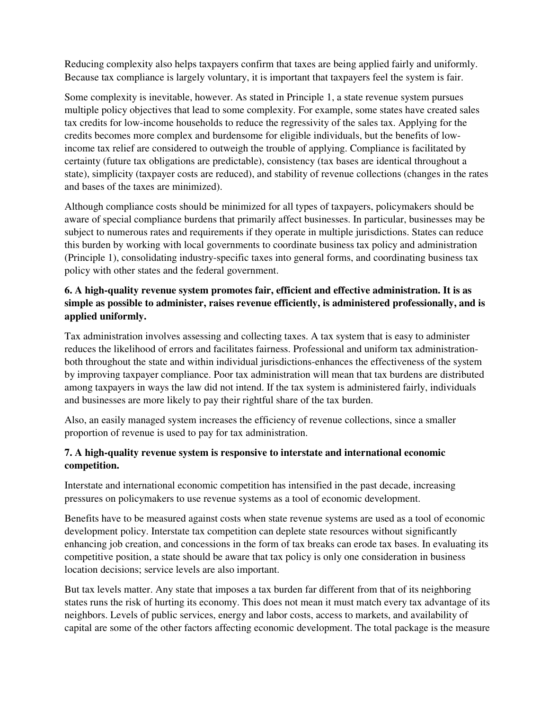Reducing complexity also helps taxpayers confirm that taxes are being applied fairly and uniformly. Because tax compliance is largely voluntary, it is important that taxpayers feel the system is fair.

Some complexity is inevitable, however. As stated in Principle 1, a state revenue system pursues multiple policy objectives that lead to some complexity. For example, some states have created sales tax credits for low-income households to reduce the regressivity of the sales tax. Applying for the credits becomes more complex and burdensome for eligible individuals, but the benefits of lowincome tax relief are considered to outweigh the trouble of applying. Compliance is facilitated by certainty (future tax obligations are predictable), consistency (tax bases are identical throughout a state), simplicity (taxpayer costs are reduced), and stability of revenue collections (changes in the rates and bases of the taxes are minimized).

Although compliance costs should be minimized for all types of taxpayers, policymakers should be aware of special compliance burdens that primarily affect businesses. In particular, businesses may be subject to numerous rates and requirements if they operate in multiple jurisdictions. States can reduce this burden by working with local governments to coordinate business tax policy and administration (Principle 1), consolidating industry-specific taxes into general forms, and coordinating business tax policy with other states and the federal government.

#### **6. A high-quality revenue system promotes fair, efficient and effective administration. It is as simple as possible to administer, raises revenue efficiently, is administered professionally, and is applied uniformly.**

Tax administration involves assessing and collecting taxes. A tax system that is easy to administer reduces the likelihood of errors and facilitates fairness. Professional and uniform tax administrationboth throughout the state and within individual jurisdictions-enhances the effectiveness of the system by improving taxpayer compliance. Poor tax administration will mean that tax burdens are distributed among taxpayers in ways the law did not intend. If the tax system is administered fairly, individuals and businesses are more likely to pay their rightful share of the tax burden.

Also, an easily managed system increases the efficiency of revenue collections, since a smaller proportion of revenue is used to pay for tax administration.

#### **7. A high-quality revenue system is responsive to interstate and international economic competition.**

Interstate and international economic competition has intensified in the past decade, increasing pressures on policymakers to use revenue systems as a tool of economic development.

Benefits have to be measured against costs when state revenue systems are used as a tool of economic development policy. Interstate tax competition can deplete state resources without significantly enhancing job creation, and concessions in the form of tax breaks can erode tax bases. In evaluating its competitive position, a state should be aware that tax policy is only one consideration in business location decisions; service levels are also important.

But tax levels matter. Any state that imposes a tax burden far different from that of its neighboring states runs the risk of hurting its economy. This does not mean it must match every tax advantage of its neighbors. Levels of public services, energy and labor costs, access to markets, and availability of capital are some of the other factors affecting economic development. The total package is the measure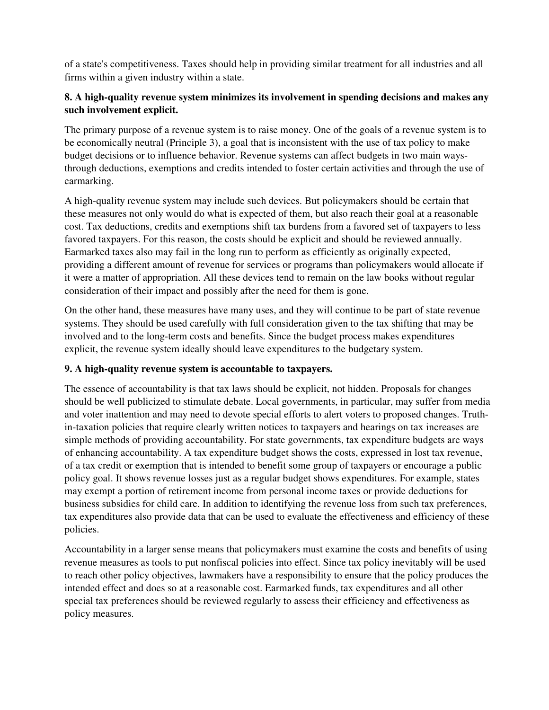of a state's competitiveness. Taxes should help in providing similar treatment for all industries and all firms within a given industry within a state.

#### **8. A high-quality revenue system minimizes its involvement in spending decisions and makes any such involvement explicit.**

The primary purpose of a revenue system is to raise money. One of the goals of a revenue system is to be economically neutral (Principle 3), a goal that is inconsistent with the use of tax policy to make budget decisions or to influence behavior. Revenue systems can affect budgets in two main waysthrough deductions, exemptions and credits intended to foster certain activities and through the use of earmarking.

A high-quality revenue system may include such devices. But policymakers should be certain that these measures not only would do what is expected of them, but also reach their goal at a reasonable cost. Tax deductions, credits and exemptions shift tax burdens from a favored set of taxpayers to less favored taxpayers. For this reason, the costs should be explicit and should be reviewed annually. Earmarked taxes also may fail in the long run to perform as efficiently as originally expected, providing a different amount of revenue for services or programs than policymakers would allocate if it were a matter of appropriation. All these devices tend to remain on the law books without regular consideration of their impact and possibly after the need for them is gone.

On the other hand, these measures have many uses, and they will continue to be part of state revenue systems. They should be used carefully with full consideration given to the tax shifting that may be involved and to the long-term costs and benefits. Since the budget process makes expenditures explicit, the revenue system ideally should leave expenditures to the budgetary system.

#### **9. A high-quality revenue system is accountable to taxpayers.**

The essence of accountability is that tax laws should be explicit, not hidden. Proposals for changes should be well publicized to stimulate debate. Local governments, in particular, may suffer from media and voter inattention and may need to devote special efforts to alert voters to proposed changes. Truthin-taxation policies that require clearly written notices to taxpayers and hearings on tax increases are simple methods of providing accountability. For state governments, tax expenditure budgets are ways of enhancing accountability. A tax expenditure budget shows the costs, expressed in lost tax revenue, of a tax credit or exemption that is intended to benefit some group of taxpayers or encourage a public policy goal. It shows revenue losses just as a regular budget shows expenditures. For example, states may exempt a portion of retirement income from personal income taxes or provide deductions for business subsidies for child care. In addition to identifying the revenue loss from such tax preferences, tax expenditures also provide data that can be used to evaluate the effectiveness and efficiency of these policies.

Accountability in a larger sense means that policymakers must examine the costs and benefits of using revenue measures as tools to put nonfiscal policies into effect. Since tax policy inevitably will be used to reach other policy objectives, lawmakers have a responsibility to ensure that the policy produces the intended effect and does so at a reasonable cost. Earmarked funds, tax expenditures and all other special tax preferences should be reviewed regularly to assess their efficiency and effectiveness as policy measures.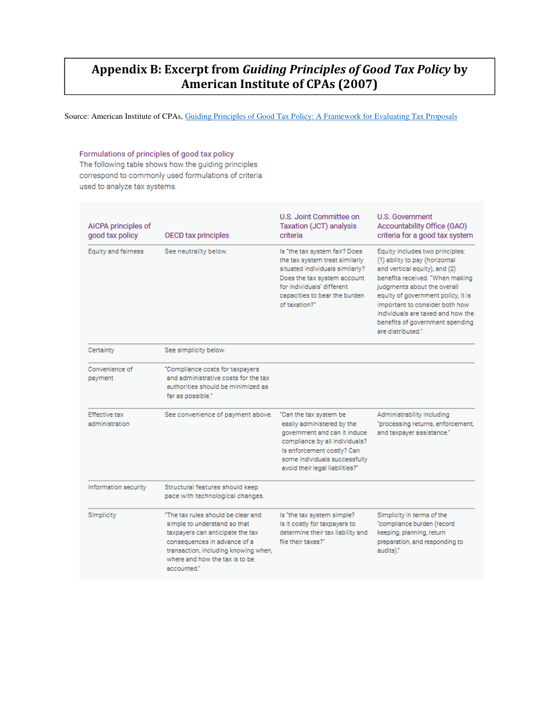## **Appendix B: Excerpt from** *Guiding Principles of Good Tax Policy* **by American Institute of CPAs (2007)**

Source: American Institute of CPAs, Guiding Principles of Good Tax Policy: A Framework for Evaluating Tax Proposals

#### Formulations of principles of good tax policy

The following table shows how the guiding principles correspond to commonly used formulations of criteria used to analyze tax systems.

| AICPA principles of<br>good tax policy | OECD tax principles                                                                                                                                                                                                             | U.S. Joint Committee on<br>Taxation (JCT) analysis<br>criteria                                                                                                                                                           | <b>U.S. Government</b><br>Accountability Office (GAO)<br>criteria for a good tax system                                                                                                                                                                                                                                                   |
|----------------------------------------|---------------------------------------------------------------------------------------------------------------------------------------------------------------------------------------------------------------------------------|--------------------------------------------------------------------------------------------------------------------------------------------------------------------------------------------------------------------------|-------------------------------------------------------------------------------------------------------------------------------------------------------------------------------------------------------------------------------------------------------------------------------------------------------------------------------------------|
| Equity and fairness                    | See neutrality below.                                                                                                                                                                                                           | Is "the tax system fair? Does<br>the tax system treat similarly<br>situated individuals similarly?<br>Does the tax system account<br>for individuals' different<br>capacities to bear the burden<br>of taxation?"        | Equity includes two principles:<br>(1) ability to pay (horizontal<br>and vertical equity), and (2)<br>benefits received. "When making<br>judgments about the overall<br>equity of government policy, it is<br>important to consider both how<br>individuals are taxed and how the<br>benefits of government spending<br>are distributed." |
| Certainty                              | See simplicity below.                                                                                                                                                                                                           |                                                                                                                                                                                                                          |                                                                                                                                                                                                                                                                                                                                           |
| Convenience of<br>payment              | "Compliance costs for taxpayers<br>and administrative costs for the tax<br>authorities should be minimized as<br>far as possible."                                                                                              |                                                                                                                                                                                                                          |                                                                                                                                                                                                                                                                                                                                           |
| <b>Effective tax</b><br>administration | See convenience of payment above.                                                                                                                                                                                               | "Can the tax system be<br>easily administered by the<br>government and can it induce<br>compliance by all individuals?<br>Is enforcement costly? Can<br>some individuals successfully<br>avoid their legal liabilities?" | Administrability including<br>"processing returns, enforcement,<br>and taxpayer assistance."                                                                                                                                                                                                                                              |
| Information security                   | Structural features should keep<br>pace with technological changes.                                                                                                                                                             |                                                                                                                                                                                                                          |                                                                                                                                                                                                                                                                                                                                           |
| Simplicity                             | "The tax rules should be clear and<br>simple to understand so that<br>taxpayers can anticipate the tax<br>consequences in advance of a<br>transaction, including knowing when,<br>where and how the tax is to be<br>accounted." | Is "the tax system simple?<br>Is it costly for taxpayers to<br>determine their tax liability and<br>file their taxes?"                                                                                                   | Simplicity in terms of the<br>"compliance burden (record<br>keeping, planning, return<br>preparation, and responding to<br>audits)."                                                                                                                                                                                                      |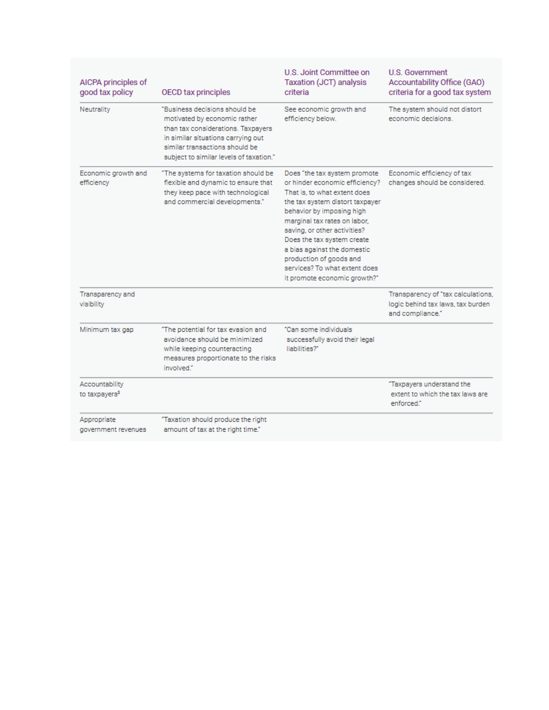| AICPA principles of<br>good tax policy      | OECD tax principles                                                                                                                                                                                                    | U.S. Joint Committee on<br>Taxation (JCT) analysis<br>criteria                                                                                                                                                                                                                                                                                                                          | U.S. Government<br>Accountability Office (GAO)<br>criteria for a good tax system            |
|---------------------------------------------|------------------------------------------------------------------------------------------------------------------------------------------------------------------------------------------------------------------------|-----------------------------------------------------------------------------------------------------------------------------------------------------------------------------------------------------------------------------------------------------------------------------------------------------------------------------------------------------------------------------------------|---------------------------------------------------------------------------------------------|
| Neutrality                                  | "Business decisions should be<br>motivated by economic rather<br>than tax considerations. Taxpayers<br>in similar situations carrying out<br>similar transactions should be<br>subject to similar levels of taxation." | See economic growth and<br>efficiency below.                                                                                                                                                                                                                                                                                                                                            | The system should not distort<br>economic decisions.                                        |
| Economic growth and<br>efficiency           | "The systems for taxation should be<br>flexible and dynamic to ensure that<br>they keep pace with technological<br>and commercial developments."                                                                       | Does "the tax system promote<br>or hinder economic efficiency?<br>That is, to what extent does<br>the tax system distort taxpayer<br>behavior by imposing high<br>marginal tax rates on labor,<br>saving, or other activities?<br>Does the tax system create<br>a bias against the domestic<br>production of goods and<br>services? To what extent does<br>it promote economic growth?" | Economic efficiency of tax<br>changes should be considered.                                 |
| Transparency and<br>visibility              |                                                                                                                                                                                                                        |                                                                                                                                                                                                                                                                                                                                                                                         | Transparency of "tax calculations,<br>logic behind tax laws, tax burden<br>and compliance." |
| Minimum tax gap                             | "The potential for tax evasion and<br>avoidance should be minimized.<br>while keeping counteracting<br>measures proportionate to the risks<br>involved."                                                               | "Can some individuals<br>successfully avoid their legal<br>liabilities?"                                                                                                                                                                                                                                                                                                                |                                                                                             |
| Accountability<br>to taxpayers <sup>3</sup> |                                                                                                                                                                                                                        |                                                                                                                                                                                                                                                                                                                                                                                         | "Taxpayers understand the<br>extent to which the tax laws are<br>enforced."                 |
| Appropriate<br>government revenues          | "Taxation should produce the right<br>amount of tax at the right time."                                                                                                                                                |                                                                                                                                                                                                                                                                                                                                                                                         |                                                                                             |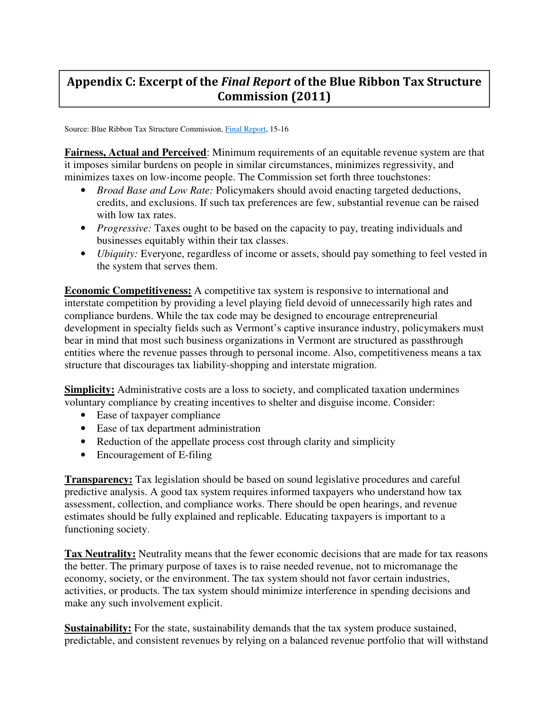## **Appendix C: Excerpt of the** *Final Report* **of the Blue Ribbon Tax Structure Commission (2011)**

Source: Blue Ribbon Tax Structure Commission, Final Report, 15-16

**Fairness, Actual and Perceived**: Minimum requirements of an equitable revenue system are that it imposes similar burdens on people in similar circumstances, minimizes regressivity, and minimizes taxes on low-income people. The Commission set forth three touchstones:

- *Broad Base and Low Rate:* Policymakers should avoid enacting targeted deductions, credits, and exclusions. If such tax preferences are few, substantial revenue can be raised with low tax rates.
- *Progressive:* Taxes ought to be based on the capacity to pay, treating individuals and businesses equitably within their tax classes.
- *Ubiquity:* Everyone, regardless of income or assets, should pay something to feel vested in the system that serves them.

**Economic Competitiveness:** A competitive tax system is responsive to international and interstate competition by providing a level playing field devoid of unnecessarily high rates and compliance burdens. While the tax code may be designed to encourage entrepreneurial development in specialty fields such as Vermont's captive insurance industry, policymakers must bear in mind that most such business organizations in Vermont are structured as passthrough entities where the revenue passes through to personal income. Also, competitiveness means a tax structure that discourages tax liability-shopping and interstate migration.

**Simplicity:** Administrative costs are a loss to society, and complicated taxation undermines voluntary compliance by creating incentives to shelter and disguise income. Consider:

- Ease of taxpayer compliance
- Ease of tax department administration
- Reduction of the appellate process cost through clarity and simplicity
- Encouragement of E-filing

**Transparency:** Tax legislation should be based on sound legislative procedures and careful predictive analysis. A good tax system requires informed taxpayers who understand how tax assessment, collection, and compliance works. There should be open hearings, and revenue estimates should be fully explained and replicable. Educating taxpayers is important to a functioning society.

**Tax Neutrality:** Neutrality means that the fewer economic decisions that are made for tax reasons the better. The primary purpose of taxes is to raise needed revenue, not to micromanage the economy, society, or the environment. The tax system should not favor certain industries, activities, or products. The tax system should minimize interference in spending decisions and make any such involvement explicit.

**Sustainability:** For the state, sustainability demands that the tax system produce sustained, predictable, and consistent revenues by relying on a balanced revenue portfolio that will withstand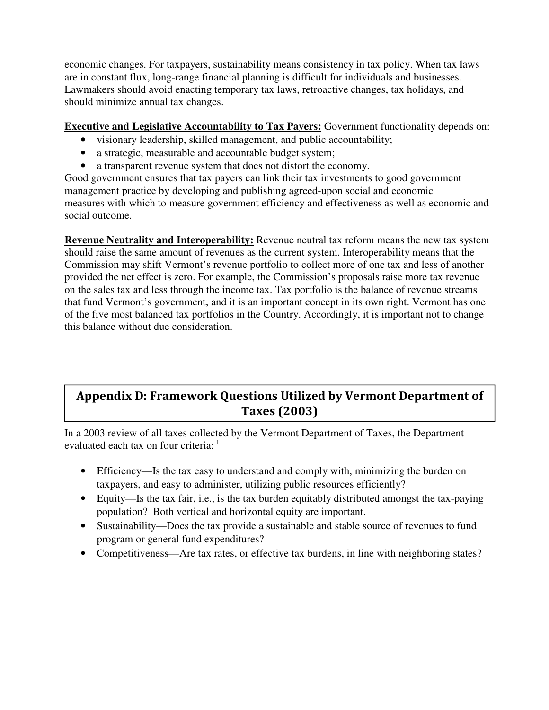economic changes. For taxpayers, sustainability means consistency in tax policy. When tax laws are in constant flux, long-range financial planning is difficult for individuals and businesses. Lawmakers should avoid enacting temporary tax laws, retroactive changes, tax holidays, and should minimize annual tax changes.

**Executive and Legislative Accountability to Tax Payers:** Government functionality depends on:

- visionary leadership, skilled management, and public accountability;
- a strategic, measurable and accountable budget system;
- a transparent revenue system that does not distort the economy.

Good government ensures that tax payers can link their tax investments to good government management practice by developing and publishing agreed-upon social and economic measures with which to measure government efficiency and effectiveness as well as economic and social outcome.

**Revenue Neutrality and Interoperability:** Revenue neutral tax reform means the new tax system should raise the same amount of revenues as the current system. Interoperability means that the Commission may shift Vermont's revenue portfolio to collect more of one tax and less of another provided the net effect is zero. For example, the Commission's proposals raise more tax revenue on the sales tax and less through the income tax. Tax portfolio is the balance of revenue streams that fund Vermont's government, and it is an important concept in its own right. Vermont has one of the five most balanced tax portfolios in the Country. Accordingly, it is important not to change this balance without due consideration.

### **Appendix D: Framework Questions Utilized by Vermont Department of Taxes (2003)**

In a 2003 review of all taxes collected by the Vermont Department of Taxes, the Department evaluated each tax on four criteria:  $1$ 

- Efficiency—Is the tax easy to understand and comply with, minimizing the burden on taxpayers, and easy to administer, utilizing public resources efficiently?
- Equity—Is the tax fair, i.e., is the tax burden equitably distributed amongst the tax-paying population? Both vertical and horizontal equity are important.
- Sustainability—Does the tax provide a sustainable and stable source of revenues to fund program or general fund expenditures?
- Competitiveness—Are tax rates, or effective tax burdens, in line with neighboring states?